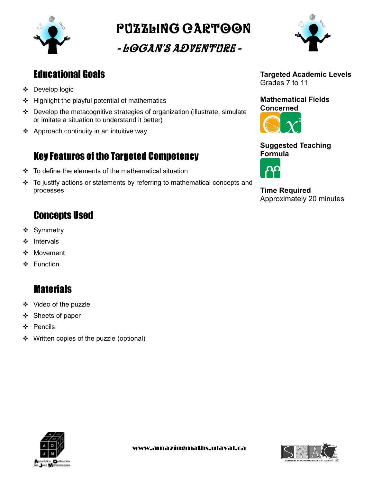

Puzzling cartoon

- Logan's Adventure -



# Educational Goals

- Develop logic
- $\div$  Highlight the playful potential of mathematics
- Develop the metacognitive strategies of organization (illustrate, simulate or imitate a situation to understand it better)
- ❖ Approach continuity in an intuitive way

# Key Features of the Targeted Competency

- $\div$  To define the elements of the mathematical situation
- $\div$  To justify actions or statements by referring to mathematical concepts and processes

# Concepts Used

- ❖ Symmetry
- ❖ Intervals
- ❖ Movement
- ❖ Function

# **Materials**

- Video of the puzzle
- ❖ Sheets of paper
- Pencils
- ❖ Written copies of the puzzle (optional)



### **Mathematical Fields Concerned**



### **Suggested Teaching Formula**



**Time Required** Approximately 20 minutes



www.amazingmaths.ulaval.ca